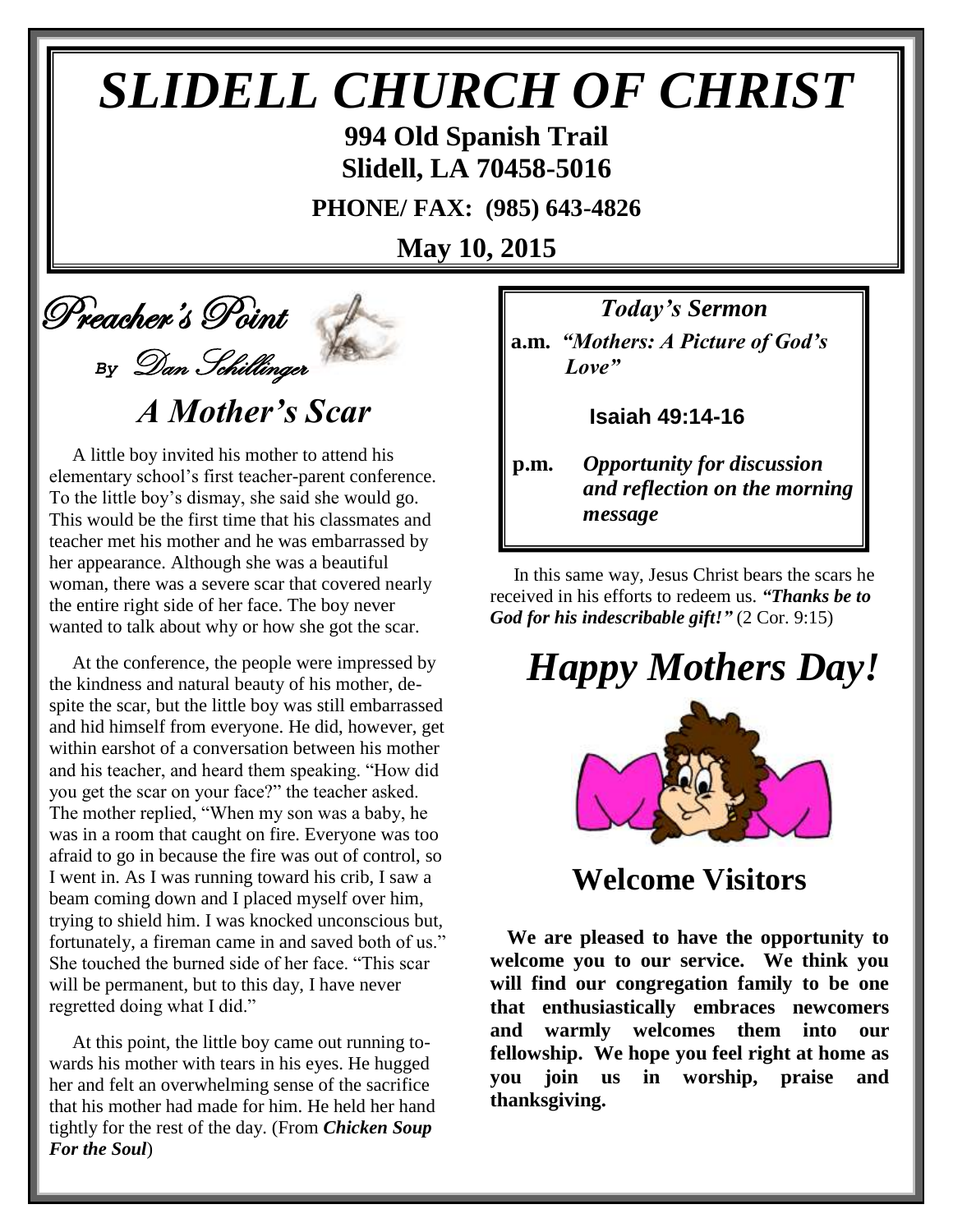# *SLIDELL CHURCH OF CHRIST*

**994 Old Spanish Trail Slidell, LA 70458-5016**

**PHONE/ FAX: (985) 643-4826**

**May 10, 2015**

# Preacher's Point *By* Dan Schillinger

# *A Mother's Scar*

 A little boy invited his mother to attend his elementary school's first teacher-parent conference. To the little boy's dismay, she said she would go. This would be the first time that his classmates and teacher met his mother and he was embarrassed by her appearance. Although she was a beautiful woman, there was a severe scar that covered nearly the entire right side of her face. The boy never wanted to talk about why or how she got the scar.

 At the conference, the people were impressed by the kindness and natural beauty of his mother, despite the scar, but the little boy was still embarrassed and hid himself from everyone. He did, however, get within earshot of a conversation between his mother and his teacher, and heard them speaking. "How did you get the scar on your face?" the teacher asked. The mother replied, "When my son was a baby, he was in a room that caught on fire. Everyone was too afraid to go in because the fire was out of control, so I went in. As I was running toward his crib, I saw a beam coming down and I placed myself over him, trying to shield him. I was knocked unconscious but, fortunately, a fireman came in and saved both of us." She touched the burned side of her face. "This scar will be permanent, but to this day, I have never regretted doing what I did."

 At this point, the little boy came out running towards his mother with tears in his eyes. He hugged her and felt an overwhelming sense of the sacrifice that his mother had made for him. He held her hand tightly for the rest of the day. (From *Chicken Soup For the Soul*)

*Today's Sermon*

**a.m.** *"Mothers: A Picture of God's* *Love"*

**Isaiah 49:14-16**

**p.m.** *Opportunity for discussion*  *and reflection on the morning message*

 In this same way, Jesus Christ bears the scars he received in his efforts to redeem us. *"Thanks be to God for his indescribable gift!"* (2 Cor. 9:15)

# *Happy Mothers Day!*



**Welcome Visitors**

**We are pleased to have the opportunity to welcome you to our service. We think you will find our congregation family to be one that enthusiastically embraces newcomers and warmly welcomes them into our fellowship. We hope you feel right at home as you join us in worship, praise and thanksgiving.**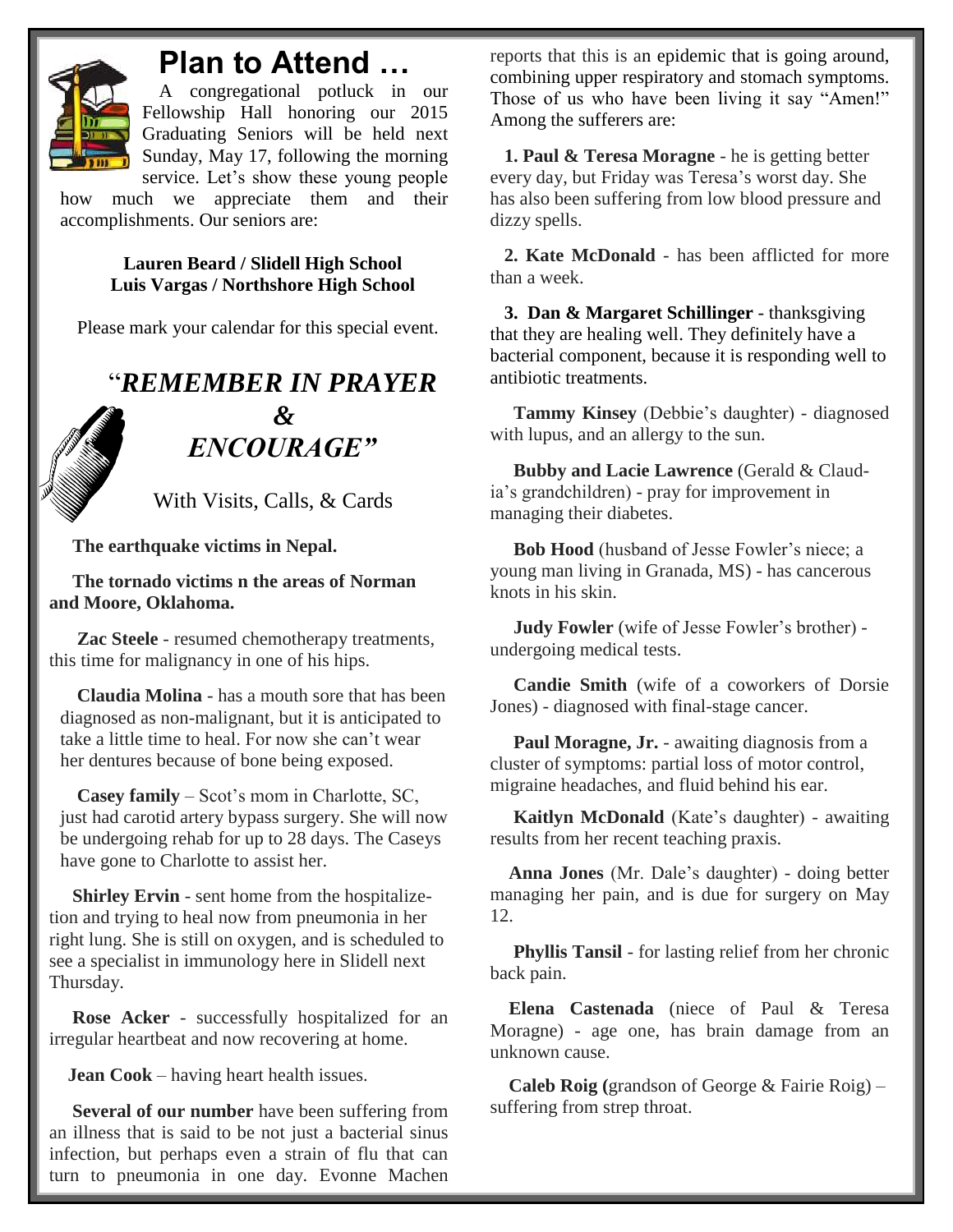

## **Plan to Attend …**

A congregational potluck in our Fellowship Hall honoring our 2015 Graduating Seniors will be held next Sunday, May 17, following the morning service. Let's show these young people

how much we appreciate them and their accomplishments. Our seniors are:

> **Lauren Beard / Slidell High School Luis Vargas / Northshore High School**

Please mark your calendar for this special event.

## "*REMEMBER IN PRAYER*



With Visits, Calls, & Cards

" *ENCOURAGE"*

 **The earthquake victims in Nepal.**

 **The tornado victims n the areas of Norman and Moore, Oklahoma.**

 **Zac Steele** - resumed chemotherapy treatments, this time for malignancy in one of his hips.

**Claudia Molina** - has a mouth sore that has been diagnosed as non-malignant, but it is anticipated to take a little time to heal. For now she can't wear her dentures because of bone being exposed.

**Casey family** – Scot's mom in Charlotte, SC, just had carotid artery bypass surgery. She will now be undergoing rehab for up to 28 days. The Caseys have gone to Charlotte to assist her.

 **Shirley Ervin** - sent home from the hospitalizetion and trying to heal now from pneumonia in her right lung. She is still on oxygen, and is scheduled to see a specialist in immunology here in Slidell next Thursday.

 **Rose Acker** - successfully hospitalized for an irregular heartbeat and now recovering at home.

**Jean Cook** – having heart health issues.

 **Several of our number** have been suffering from an illness that is said to be not just a bacterial sinus infection, but perhaps even a strain of flu that can turn to pneumonia in one day. Evonne Machen

reports that this is an epidemic that is going around, combining upper respiratory and stomach symptoms. Those of us who have been living it say "Amen!" Among the sufferers are:

 **1. Paul & Teresa Moragne** - he is getting better every day, but Friday was Teresa's worst day. She has also been suffering from low blood pressure and dizzy spells.

 **2. Kate McDonald** - has been afflicted for more than a week.

 **3. Dan & Margaret Schillinger** - thanksgiving that they are healing well. They definitely have a bacterial component, because it is responding well to antibiotic treatments.

 **Tammy Kinsey** (Debbie's daughter) - diagnosed with lupus, and an allergy to the sun.

 **Bubby and Lacie Lawrence** (Gerald & Claudia's grandchildren) - pray for improvement in managing their diabetes.

 **Bob Hood** (husband of Jesse Fowler's niece; a young man living in Granada, MS) - has cancerous knots in his skin.

 **Judy Fowler** (wife of Jesse Fowler's brother) undergoing medical tests.

 **Candie Smith** (wife of a coworkers of Dorsie Jones) - diagnosed with final-stage cancer.

Paul Moragne, Jr. - awaiting diagnosis from a cluster of symptoms: partial loss of motor control, migraine headaches, and fluid behind his ear.

 **Kaitlyn McDonald** (Kate's daughter) - awaiting results from her recent teaching praxis.

 **Anna Jones** (Mr. Dale's daughter) - doing better managing her pain, and is due for surgery on May 12.

 **Phyllis Tansil** - for lasting relief from her chronic back pain.

 **Elena Castenada** (niece of Paul & Teresa Moragne) - age one, has brain damage from an unknown cause.

 **Caleb Roig (**grandson of George & Fairie Roig) – suffering from strep throat.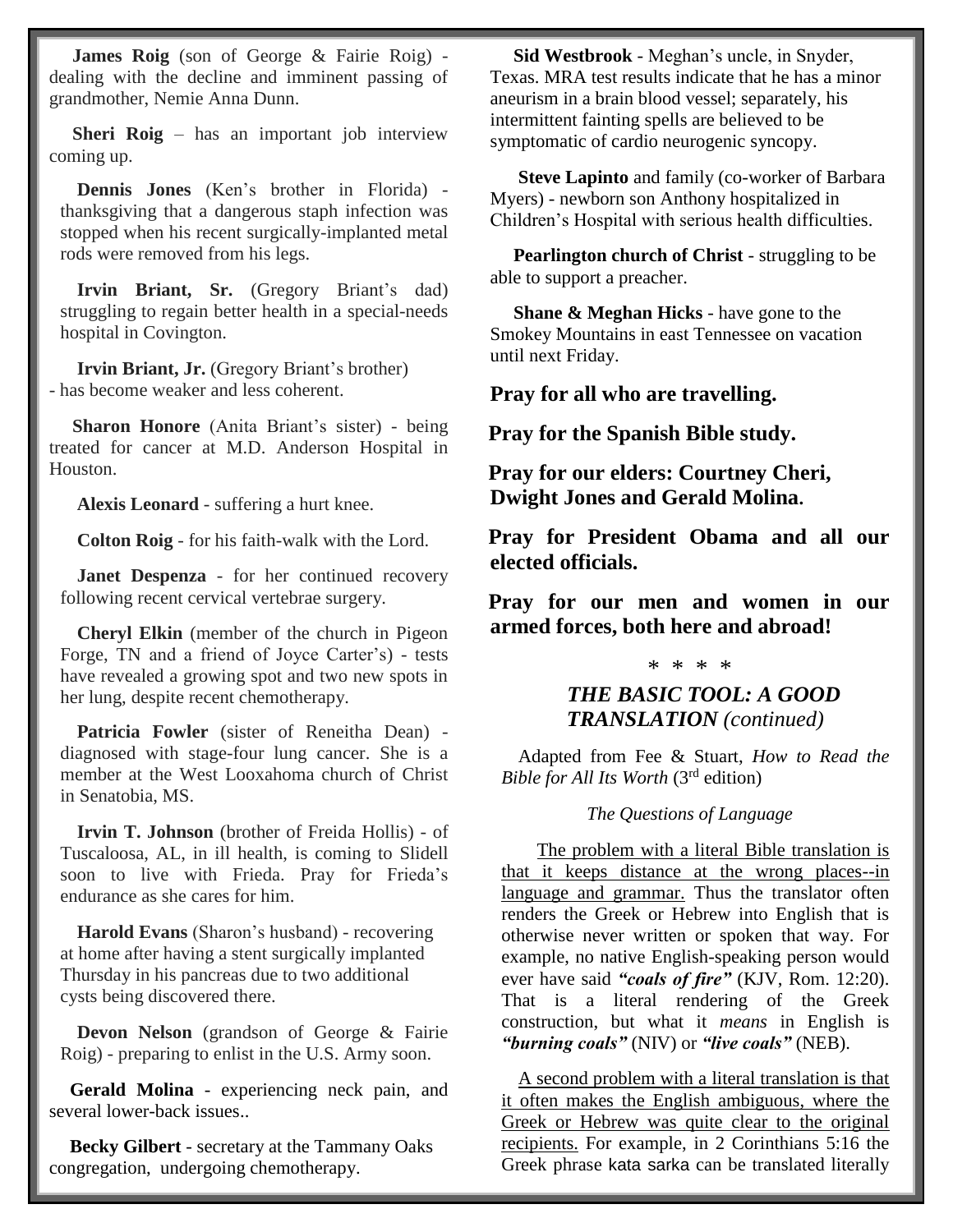**James Roig** (son of George & Fairie Roig) dealing with the decline and imminent passing of grandmother, Nemie Anna Dunn.

 **Sheri Roig** – has an important job interview coming up.

**Dennis Jones** (Ken's brother in Florida) thanksgiving that a dangerous staph infection was stopped when his recent surgically-implanted metal rods were removed from his legs.

**Irvin Briant, Sr.** (Gregory Briant's dad) struggling to regain better health in a special-needs hospital in Covington.

**Irvin Briant, Jr.** (Gregory Briant's brother) - has become weaker and less coherent.

 **Sharon Honore** (Anita Briant's sister) - being treated for cancer at M.D. Anderson Hospital in Houston.

**Alexis Leonard** - suffering a hurt knee.

**Colton Roig** - for his faith-walk with the Lord.

**Janet Despenza** - for her continued recovery following recent cervical vertebrae surgery.

**Cheryl Elkin** (member of the church in Pigeon Forge, TN and a friend of Joyce Carter's) - tests have revealed a growing spot and two new spots in her lung, despite recent chemotherapy.

**Patricia Fowler** (sister of Reneitha Dean) diagnosed with stage-four lung cancer. She is a member at the West Looxahoma church of Christ in Senatobia, MS.

**Irvin T. Johnson** (brother of Freida Hollis) - of Tuscaloosa, AL, in ill health, is coming to Slidell soon to live with Frieda. Pray for Frieda's endurance as she cares for him.

**Harold Evans** (Sharon's husband) - recovering at home after having a stent surgically implanted Thursday in his pancreas due to two additional cysts being discovered there.

**Devon Nelson** (grandson of George & Fairie Roig) - preparing to enlist in the U.S. Army soon.

 **Gerald Molina** - experiencing neck pain, and several lower-back issues..

 **Becky Gilbert** - secretary at the Tammany Oaks congregation, undergoing chemotherapy.

 **Sid Westbrook** - Meghan's uncle, in Snyder, Texas. MRA test results indicate that he has a minor aneurism in a brain blood vessel; separately, his intermittent fainting spells are believed to be symptomatic of cardio neurogenic syncopy.

 **Steve Lapinto** and family (co-worker of Barbara Myers) - newborn son Anthony hospitalized in Children's Hospital with serious health difficulties.

 **Pearlington church of Christ** - struggling to be able to support a preacher.

 **Shane & Meghan Hicks** - have gone to the Smokey Mountains in east Tennessee on vacation until next Friday.

**Pray for all who are travelling.**

**Pray for the Spanish Bible study.**

**Pray for our elders: Courtney Cheri, Dwight Jones and Gerald Molina.**

**Pray for President Obama and all our elected officials.**

**Pray for our men and women in our armed forces, both here and abroad!**

#### \* \* \* \*

### *THE BASIC TOOL: A GOOD TRANSLATION (continued)*

Adapted from Fee & Stuart, *How to Read the Bible for All Its Worth* (3rd edition)

#### *The Questions of Language*

 The problem with a literal Bible translation is that it keeps distance at the wrong places--in language and grammar. Thus the translator often renders the Greek or Hebrew into English that is otherwise never written or spoken that way. For example, no native English-speaking person would ever have said *"coals of fire"* (KJV, Rom. 12:20). That is a literal rendering of the Greek construction, but what it *means* in English is *"burning coals"* (NIV) or *"live coals"* (NEB).

A second problem with a literal translation is that it often makes the English ambiguous, where the Greek or Hebrew was quite clear to the original recipients. For example, in 2 Corinthians 5:16 the Greek phrase kata sarka can be translated literally